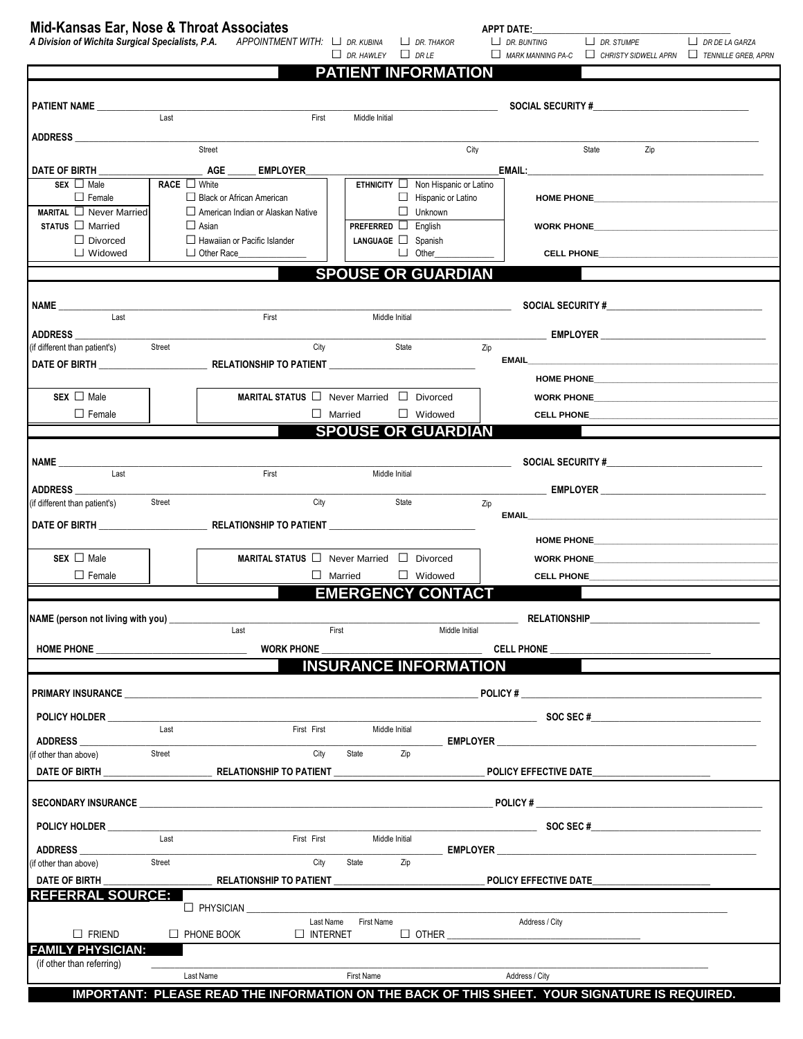## **Mid-Kansas Ear, Nose & Throat Associates APPT DATE:\_\_\_\_\_\_\_\_\_\_\_\_\_\_\_\_\_\_\_\_\_\_\_\_\_\_\_\_\_\_\_\_\_\_\_\_\_\_\_\_\_\_** *A Division of Wichita Surgical Specialists, P.A. APPOINTMENT WITH:* **□** *DR. KUBINA* **□** *DR. THAKOR* **□** *DR. BUNTING* **□** *DR. STUMPE* **□** *DR DE LA GARZA*

**□** *DR. HAWLEY* **□** *DR LE* **□** *MARK MANNING PA-C* **□** *CHRISTY SIDWELL APRN* **□** *TENNILLE GREB, APRN*

|                                                                                                                                                                                                                                |                                                                                                                                                                                                                                     |                                               | <b>PATIENT INFORMATION</b>                     |                                                                                                                                                                                                                                |                                                                                                                                                                                                                                |
|--------------------------------------------------------------------------------------------------------------------------------------------------------------------------------------------------------------------------------|-------------------------------------------------------------------------------------------------------------------------------------------------------------------------------------------------------------------------------------|-----------------------------------------------|------------------------------------------------|--------------------------------------------------------------------------------------------------------------------------------------------------------------------------------------------------------------------------------|--------------------------------------------------------------------------------------------------------------------------------------------------------------------------------------------------------------------------------|
| PATIENT NAME                                                                                                                                                                                                                   |                                                                                                                                                                                                                                     |                                               |                                                |                                                                                                                                                                                                                                |                                                                                                                                                                                                                                |
|                                                                                                                                                                                                                                | $\overline{$ Last                                                                                                                                                                                                                   | First                                         | Middle Initial                                 |                                                                                                                                                                                                                                |                                                                                                                                                                                                                                |
| ADDRESS And the state of the state of the state of the state of the state of the state of the state of the state of the state of the state of the state of the state of the state of the state of the state of the state of th |                                                                                                                                                                                                                                     |                                               |                                                |                                                                                                                                                                                                                                |                                                                                                                                                                                                                                |
|                                                                                                                                                                                                                                | Street                                                                                                                                                                                                                              |                                               |                                                | City<br>State                                                                                                                                                                                                                  | Zip                                                                                                                                                                                                                            |
| DATE OF BIRTH                                                                                                                                                                                                                  | AGE                                                                                                                                                                                                                                 | <b>EMPLOYER</b>                               |                                                |                                                                                                                                                                                                                                |                                                                                                                                                                                                                                |
| $SEX \Box Male$                                                                                                                                                                                                                | <b>RACE</b> ■ White                                                                                                                                                                                                                 |                                               | <b>ETHNICITY</b> $\Box$ Non Hispanic or Latino |                                                                                                                                                                                                                                |                                                                                                                                                                                                                                |
| $\Box$ Female<br>$MARTAL \square$ Never Married                                                                                                                                                                                | $\Box$ Black or African American<br>American Indian or Alaskan Native                                                                                                                                                               |                                               | Hispanic or Latino<br>$\Box$ Unknown           | HOME PHONE THE STATE OF THE STATE OF THE STATE OF THE STATE OF THE STATE OF THE STATE OF THE STATE OF THE STATE OF THE STATE OF THE STATE OF THE STATE OF THE STATE OF THE STATE OF THE STATE OF THE STATE OF THE STATE OF THE |                                                                                                                                                                                                                                |
| $STATUS$ $\Box$ Married                                                                                                                                                                                                        | $\Box$ Asian                                                                                                                                                                                                                        |                                               | <b>PREFERRED</b> $\Box$ English                | WORK PHONE <b>AND A SET AND A SET AND A SET A</b>                                                                                                                                                                              |                                                                                                                                                                                                                                |
| $\Box$ Divorced                                                                                                                                                                                                                | $\Box$ Hawaiian or Pacific Islander                                                                                                                                                                                                 |                                               | LANGUAGE Spanish                               |                                                                                                                                                                                                                                |                                                                                                                                                                                                                                |
| $\Box$ Widowed                                                                                                                                                                                                                 | Other Race                                                                                                                                                                                                                          |                                               | $\Box$ Other                                   |                                                                                                                                                                                                                                | CELL PHONE <b>And CELL PHONE</b>                                                                                                                                                                                               |
|                                                                                                                                                                                                                                |                                                                                                                                                                                                                                     |                                               | <b>SPOUSE OR GUARDIAN</b>                      |                                                                                                                                                                                                                                |                                                                                                                                                                                                                                |
|                                                                                                                                                                                                                                |                                                                                                                                                                                                                                     |                                               |                                                |                                                                                                                                                                                                                                |                                                                                                                                                                                                                                |
| NAME                                                                                                                                                                                                                           |                                                                                                                                                                                                                                     |                                               |                                                |                                                                                                                                                                                                                                |                                                                                                                                                                                                                                |
| Last                                                                                                                                                                                                                           |                                                                                                                                                                                                                                     | First                                         | Middle Initial                                 |                                                                                                                                                                                                                                |                                                                                                                                                                                                                                |
| <b>ADDRESS</b><br>(if different than patient's)                                                                                                                                                                                | Street                                                                                                                                                                                                                              | City                                          | State                                          | <b>EMPLOYER EMPLOYER</b><br>Zip                                                                                                                                                                                                |                                                                                                                                                                                                                                |
|                                                                                                                                                                                                                                | DATE OF BIRTH <b>EXECUTE A RELATIONSHIP TO PATIENT</b>                                                                                                                                                                              |                                               |                                                |                                                                                                                                                                                                                                |                                                                                                                                                                                                                                |
|                                                                                                                                                                                                                                |                                                                                                                                                                                                                                     |                                               |                                                |                                                                                                                                                                                                                                | HOME PHONE The Contract of the Contract of the Contract of the Contract of the Contract of the Contract of the                                                                                                                 |
| $SEX \Box Male$                                                                                                                                                                                                                |                                                                                                                                                                                                                                     | MARITAL STATUS □ Never Married □ Divorced     |                                                |                                                                                                                                                                                                                                | WORK PHONE THE STATE OF THE STATE OF THE STATE OF THE STATE OF THE STATE OF THE STATE OF THE STATE OF THE STATE OF THE STATE OF THE STATE OF THE STATE OF THE STATE OF THE STATE OF THE STATE OF THE STATE OF THE STATE OF THE |
| $\Box$ Female                                                                                                                                                                                                                  |                                                                                                                                                                                                                                     | $\Box$ Married                                | $\Box$ Widowed                                 |                                                                                                                                                                                                                                |                                                                                                                                                                                                                                |
|                                                                                                                                                                                                                                |                                                                                                                                                                                                                                     |                                               | <b>SPOUSE OR GUARDIAN</b>                      |                                                                                                                                                                                                                                |                                                                                                                                                                                                                                |
|                                                                                                                                                                                                                                |                                                                                                                                                                                                                                     |                                               |                                                |                                                                                                                                                                                                                                |                                                                                                                                                                                                                                |
| NAME                                                                                                                                                                                                                           |                                                                                                                                                                                                                                     |                                               |                                                |                                                                                                                                                                                                                                |                                                                                                                                                                                                                                |
|                                                                                                                                                                                                                                |                                                                                                                                                                                                                                     | First                                         | Middle Initial                                 |                                                                                                                                                                                                                                |                                                                                                                                                                                                                                |
| <b>ADDRESS</b>                                                                                                                                                                                                                 |                                                                                                                                                                                                                                     | City                                          |                                                |                                                                                                                                                                                                                                |                                                                                                                                                                                                                                |
| (if different than patient's)                                                                                                                                                                                                  | Street                                                                                                                                                                                                                              |                                               | State                                          | Zip<br><b>EMAIL EMAIL</b>                                                                                                                                                                                                      |                                                                                                                                                                                                                                |
|                                                                                                                                                                                                                                |                                                                                                                                                                                                                                     |                                               |                                                |                                                                                                                                                                                                                                |                                                                                                                                                                                                                                |
|                                                                                                                                                                                                                                |                                                                                                                                                                                                                                     |                                               |                                                |                                                                                                                                                                                                                                | HOME PHONE CONTINUES AND RESIDENCE AND RESIDENCE AND RESIDENCE AND RESIDENCE AND RESIDENCE AND RESIDENCE AND RE                                                                                                                |
| $SEX \Box$ Male                                                                                                                                                                                                                |                                                                                                                                                                                                                                     | MARITAL STATUS □ Never Married □ Divorced     |                                                |                                                                                                                                                                                                                                | WORK PHONE <b>AND A SET AND A SET AND A SET A</b>                                                                                                                                                                              |
| $\Box$ Female                                                                                                                                                                                                                  |                                                                                                                                                                                                                                     | $\Box$ Married                                | $\Box$ Widowed                                 |                                                                                                                                                                                                                                |                                                                                                                                                                                                                                |
|                                                                                                                                                                                                                                |                                                                                                                                                                                                                                     |                                               | <b>EMERGENCY CONTACT</b>                       |                                                                                                                                                                                                                                |                                                                                                                                                                                                                                |
| NAME (person not living with you) ___________                                                                                                                                                                                  |                                                                                                                                                                                                                                     |                                               |                                                | <b>RELATIONSHIP</b>                                                                                                                                                                                                            |                                                                                                                                                                                                                                |
|                                                                                                                                                                                                                                | Last                                                                                                                                                                                                                                | First                                         |                                                | Middle Initial                                                                                                                                                                                                                 |                                                                                                                                                                                                                                |
| HOME PHONE                                                                                                                                                                                                                     |                                                                                                                                                                                                                                     | <b>WORK PHONE</b>                             |                                                | <b>CELL PHONE</b>                                                                                                                                                                                                              |                                                                                                                                                                                                                                |
|                                                                                                                                                                                                                                |                                                                                                                                                                                                                                     |                                               | <b>INSURANCE INFORMATION</b>                   |                                                                                                                                                                                                                                |                                                                                                                                                                                                                                |
|                                                                                                                                                                                                                                |                                                                                                                                                                                                                                     |                                               |                                                |                                                                                                                                                                                                                                |                                                                                                                                                                                                                                |
|                                                                                                                                                                                                                                | <b>PRIMARY INSURANCE</b>                                                                                                                                                                                                            |                                               |                                                |                                                                                                                                                                                                                                |                                                                                                                                                                                                                                |
| POLICY HOLDER                                                                                                                                                                                                                  |                                                                                                                                                                                                                                     |                                               |                                                | $\text{SOC}$ SEC $\#$                                                                                                                                                                                                          |                                                                                                                                                                                                                                |
|                                                                                                                                                                                                                                | Last                                                                                                                                                                                                                                | First First                                   | Middle Initial                                 |                                                                                                                                                                                                                                |                                                                                                                                                                                                                                |
| <b>ADDRESS</b><br>if other than above)                                                                                                                                                                                         | Street                                                                                                                                                                                                                              | State<br>City                                 | Zip                                            | EMPLOYER EMPLOYER                                                                                                                                                                                                              |                                                                                                                                                                                                                                |
|                                                                                                                                                                                                                                |                                                                                                                                                                                                                                     | RELATIONSHIP TO PATIENT _____________________ |                                                | POLICY EFFECTIVE DATE                                                                                                                                                                                                          |                                                                                                                                                                                                                                |
|                                                                                                                                                                                                                                |                                                                                                                                                                                                                                     |                                               |                                                |                                                                                                                                                                                                                                |                                                                                                                                                                                                                                |
|                                                                                                                                                                                                                                | SECONDARY INSURANCE <b>And the Contract of Construction Construction</b> and the Construction of the Construction of the Construction of the Construction of the Construction of the Construction of the Construction of the Constr |                                               |                                                | POLICY#                                                                                                                                                                                                                        |                                                                                                                                                                                                                                |
|                                                                                                                                                                                                                                |                                                                                                                                                                                                                                     |                                               |                                                |                                                                                                                                                                                                                                |                                                                                                                                                                                                                                |
| POLICY HOLDER                                                                                                                                                                                                                  | Last                                                                                                                                                                                                                                | First First                                   | Middle Initial                                 |                                                                                                                                                                                                                                |                                                                                                                                                                                                                                |
| ADDRESS                                                                                                                                                                                                                        |                                                                                                                                                                                                                                     |                                               |                                                |                                                                                                                                                                                                                                |                                                                                                                                                                                                                                |
| (if other than above)                                                                                                                                                                                                          | Street                                                                                                                                                                                                                              | State<br>City                                 | Zip                                            |                                                                                                                                                                                                                                |                                                                                                                                                                                                                                |
| DATE OF BIRTH                                                                                                                                                                                                                  |                                                                                                                                                                                                                                     |                                               |                                                | POLICY EFFECTIVE DATE                                                                                                                                                                                                          |                                                                                                                                                                                                                                |
| <b>REFERRAL SOURCE:</b>                                                                                                                                                                                                        | $\Box$ PHYSICIAN $\_\_\_\_\_\_\_\_\$                                                                                                                                                                                                |                                               |                                                |                                                                                                                                                                                                                                |                                                                                                                                                                                                                                |
|                                                                                                                                                                                                                                |                                                                                                                                                                                                                                     | Last Name                                     | First Name                                     | Address / City                                                                                                                                                                                                                 |                                                                                                                                                                                                                                |
| $\Box$ FRIEND                                                                                                                                                                                                                  | $\Box$ PHONE BOOK                                                                                                                                                                                                                   | $\Box$ INTERNET                               |                                                | $\Box$ OTHER                                                                                                                                                                                                                   |                                                                                                                                                                                                                                |
| <b>FAMILY PHYSICIAN:</b>                                                                                                                                                                                                       |                                                                                                                                                                                                                                     |                                               |                                                |                                                                                                                                                                                                                                |                                                                                                                                                                                                                                |
| (if other than referring)                                                                                                                                                                                                      |                                                                                                                                                                                                                                     |                                               |                                                | Address / City                                                                                                                                                                                                                 |                                                                                                                                                                                                                                |
|                                                                                                                                                                                                                                | Last Name                                                                                                                                                                                                                           | First Name                                    |                                                |                                                                                                                                                                                                                                |                                                                                                                                                                                                                                |